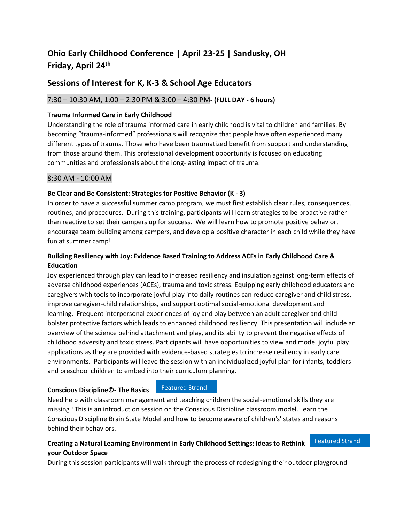# **Ohio Early Childhood Conference | April 23-25 | Sandusky, OH Friday, April 24 th**

## **Sessions of Interest for K, K-3 & School Age Educators**

## 7:30 – 10:30 AM, 1:00 – 2:30 PM & 3:00 – 4:30 PM**- (FULL DAY - 6 hours)**

#### **Trauma Informed Care in Early Childhood**

Understanding the role of trauma informed care in early childhood is vital to children and families. By becoming "trauma-informed" professionals will recognize that people have often experienced many different types of trauma. Those who have been traumatized benefit from support and understanding from those around them. This professional development opportunity is focused on educating communities and professionals about the long-lasting impact of trauma.

#### 8:30 AM - 10:00 AM

#### **Be Clear and Be Consistent: Strategies for Positive Behavior (K - 3)**

In order to have a successful summer camp program, we must first establish clear rules, consequences, routines, and procedures. During this training, participants will learn strategies to be proactive rather than reactive to set their campers up for success. We will learn how to promote positive behavior, encourage team building among campers, and develop a positive character in each child while they have fun at summer camp!

## **Building Resiliency with Joy: Evidence Based Training to Address ACEs in Early Childhood Care & Education**

Joy experienced through play can lead to increased resiliency and insulation against long-term effects of adverse childhood experiences (ACEs), trauma and toxic stress. Equipping early childhood educators and caregivers with tools to incorporate joyful play into daily routines can reduce caregiver and child stress, improve caregiver-child relationships, and support optimal social-emotional development and learning. Frequent interpersonal experiences of joy and play between an adult caregiver and child bolster protective factors which leads to enhanced childhood resiliency. This presentation will include an overview of the science behind attachment and play, and its ability to prevent the negative effects of childhood adversity and toxic stress. Participants will have opportunities to view and model joyful play applications as they are provided with evidence-based strategies to increase resiliency in early care environments. Participants will leave the session with an individualized joyful plan for infants, toddlers and preschool children to embed into their curriculum planning.

#### **Conscious Discipline©- The Basics**

### Featured Strand

Need help with classroom management and teaching children the social-emotional skills they are missing? This is an introduction session on the Conscious Discipline classroom model. Learn the Conscious Discipline Brain State Model and how to become aware of children's' states and reasons behind their behaviors.

#### **Creating a Natural Learning Environment in Early Childhood Settings: Ideas to Rethink your Outdoor Space** Featured Strand

During this session participants will walk through the process of redesigning their outdoor playground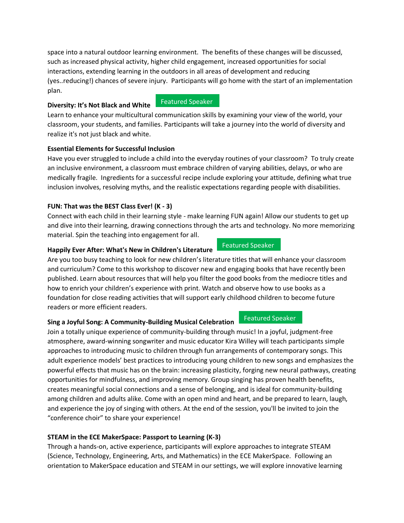space into a natural outdoor learning environment. The benefits of these changes will be discussed, such as increased physical activity, higher child engagement, increased opportunities for social interactions, extending learning in the outdoors in all areas of development and reducing (yes..reducing!) chances of severe injury. Participants will go home with the start of an implementation plan.

#### **Diversity: It's Not Black and White**

realize it's not just black and white.

Learn to enhance your multicultural communication skills by examining your view of the world, your classroom, your students, and families. Participants will take a journey into the world of diversity and

#### **Essential Elements for Successful Inclusion**

Have you ever struggled to include a child into the everyday routines of your classroom? To truly create an inclusive environment, a classroom must embrace children of varying abilities, delays, or who are medically fragile. Ingredients for a successful recipe include exploring your attitude, defining what true inclusion involves, resolving myths, and the realistic expectations regarding people with disabilities.

#### **FUN: That was the BEST Class Ever! (K - 3)**

Connect with each child in their learning style - make learning FUN again! Allow our students to get up and dive into their learning, drawing connections through the arts and technology. No more memorizing material. Spin the teaching into engagement for all.

#### **Happily Ever After: What's New in Children's Literature**

Are you too busy teaching to look for new children's literature titles that will enhance your classroom and curriculum? Come to this workshop to discover new and engaging books that have recently been published. Learn about resources that will help you filter the good books from the mediocre titles and how to enrich your children's experience with print. Watch and observe how to use books as a foundation for close reading activities that will support early childhood children to become future readers or more efficient readers.

### **Sing a Joyful Song: A Community-Building Musical Celebration**

Join a totally unique experience of community-building through music! In a joyful, judgment-free atmosphere, award-winning songwriter and music educator Kira Willey will teach participants simple approaches to introducing music to children through fun arrangements of contemporary songs. This adult experience models' best practices to introducing young children to new songs and emphasizes the powerful effects that music has on the brain: increasing plasticity, forging new neural pathways, creating opportunities for mindfulness, and improving memory. Group singing has proven health benefits, creates meaningful social connections and a sense of belonging, and is ideal for community-building among children and adults alike. Come with an open mind and heart, and be prepared to learn, laugh, and experience the joy of singing with others. At the end of the session, you'll be invited to join the "conference choir" to share your experience!

### **STEAM in the ECE MakerSpace: Passport to Learning (K-3)**

Through a hands-on, active experience, participants will explore approaches to integrate STEAM (Science, Technology, Engineering, Arts, and Mathematics) in the ECE MakerSpace. Following an orientation to MakerSpace education and STEAM in our settings, we will explore innovative learning

#### Featured Speaker

Featured Speaker

## Featured Speaker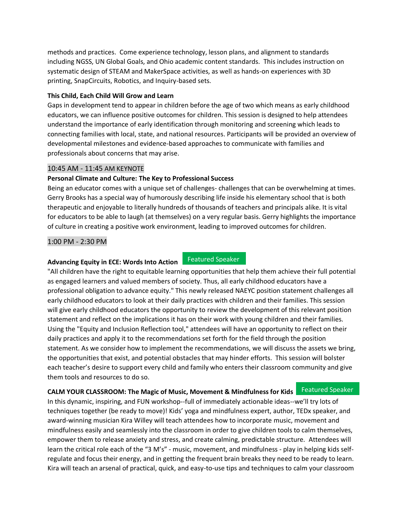methods and practices. Come experience technology, lesson plans, and alignment to standards including NGSS, UN Global Goals, and Ohio academic content standards. This includes instruction on systematic design of STEAM and MakerSpace activities, as well as hands-on experiences with 3D printing, SnapCircuits, Robotics, and Inquiry-based sets.

#### **This Child, Each Child Will Grow and Learn**

Gaps in development tend to appear in children before the age of two which means as early childhood educators, we can influence positive outcomes for children. This session is designed to help attendees understand the importance of early identification through monitoring and screening which leads to connecting families with local, state, and national resources. Participants will be provided an overview of developmental milestones and evidence-based approaches to communicate with families and professionals about concerns that may arise.

#### 10:45 AM - 11:45 AM KEYNOTE

#### **Personal Climate and Culture: The Key to Professional Success**

Being an educator comes with a unique set of challenges- challenges that can be overwhelming at times. Gerry Brooks has a special way of humorously describing life inside his elementary school that is both therapeutic and enjoyable to literally hundreds of thousands of teachers and principals alike. It is vital for educators to be able to laugh (at themselves) on a very regular basis. Gerry highlights the importance of culture in creating a positive work environment, leading to improved outcomes for children.

#### 1:00 PM - 2:30 PM

#### **Advancing Equity in ECE: Words Into Action**

#### Featured Speaker

"All children have the right to equitable learning opportunities that help them achieve their full potential as engaged learners and valued members of society. Thus, all early childhood educators have a professional obligation to advance equity." This newly released NAEYC position statement challenges all early childhood educators to look at their daily practices with children and their families. This session will give early childhood educators the opportunity to review the development of this relevant position statement and reflect on the implications it has on their work with young children and their families. Using the "Equity and Inclusion Reflection tool," attendees will have an opportunity to reflect on their daily practices and apply it to the recommendations set forth for the field through the position statement. As we consider how to implement the recommendations, we will discuss the assets we bring, the opportunities that exist, and potential obstacles that may hinder efforts. This session will bolster each teacher's desire to support every child and family who enters their classroom community and give them tools and resources to do so.

## **CALM YOUR CLASSROOM: The Magic of Music, Movement & Mindfulness for Kids** Featured Speaker

In this dynamic, inspiring, and FUN workshop--full of immediately actionable ideas--we'll try lots of techniques together (be ready to move)! Kids' yoga and mindfulness expert, author, TEDx speaker, and award-winning musician Kira Willey will teach attendees how to incorporate music, movement and mindfulness easily and seamlessly into the classroom in order to give children tools to calm themselves, empower them to release anxiety and stress, and create calming, predictable structure. Attendees will learn the critical role each of the "3 M's" - music, movement, and mindfulness - play in helping kids selfregulate and focus their energy, and in getting the frequent brain breaks they need to be ready to learn. Kira will teach an arsenal of practical, quick, and easy-to-use tips and techniques to calm your classroom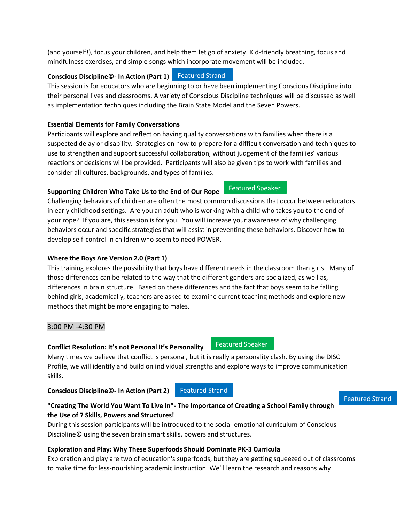(and yourself!), focus your children, and help them let go of anxiety. Kid-friendly breathing, focus and mindfulness exercises, and simple songs which incorporate movement will be included.

#### **Conscious Discipline©- In Action (Part 1)** Featured Strand

This session is for educators who are beginning to or have been implementing Conscious Discipline into their personal lives and classrooms. A variety of Conscious Discipline techniques will be discussed as well as implementation techniques including the Brain State Model and the Seven Powers.

# **Essential Elements for Family Conversations**

Participants will explore and reflect on having quality conversations with families when there is a suspected delay or disability. Strategies on how to prepare for a difficult conversation and techniques to use to strengthen and support successful collaboration, without judgement of the families' various reactions or decisions will be provided. Participants will also be given tips to work with families and consider all cultures, backgrounds, and types of families.

# **Supporting Children Who Take Us to the End of Our Rope**

Challenging behaviors of children are often the most common discussions that occur between educators in early childhood settings. Are you an adult who is working with a child who takes you to the end of your rope? If you are, this session is for you. You will increase your awareness of why challenging behaviors occur and specific strategies that will assist in preventing these behaviors. Discover how to develop self-control in children who seem to need POWER.

# **Where the Boys Are Version 2.0 (Part 1)**

This training explores the possibility that boys have different needs in the classroom than girls. Many of those differences can be related to the way that the different genders are socialized, as well as, differences in brain structure. Based on these differences and the fact that boys seem to be falling behind girls, academically, teachers are asked to examine current teaching methods and explore new methods that might be more engaging to males.

## 3:00 PM -4:30 PM

## **Conflict Resolution: It's not Personal It's Personality**

Many times we believe that conflict is personal, but it is really a personality clash. By using the DISC Profile, we will identify and build on individual strengths and explore ways to improve communication skills.

**Conscious Discipline©- In Action (Part 2)**

Featured Strand

### **"Creating The World You Want To Live In"- The Importance of Creating a School Family through the Use of 7 Skills, Powers and Structures!**

During this session participants will be introduced to the social-emotional curriculum of Conscious Discipline**©** using the seven brain smart skills, powers and structures.

## **Exploration and Play: Why These Superfoods Should Dominate PK-3 Curricula**

Exploration and play are two of education's superfoods, but they are getting squeezed out of classrooms to make time for less-nourishing academic instruction. We'll learn the research and reasons why

## Featured Speaker

Featured Speaker

Featured Strand